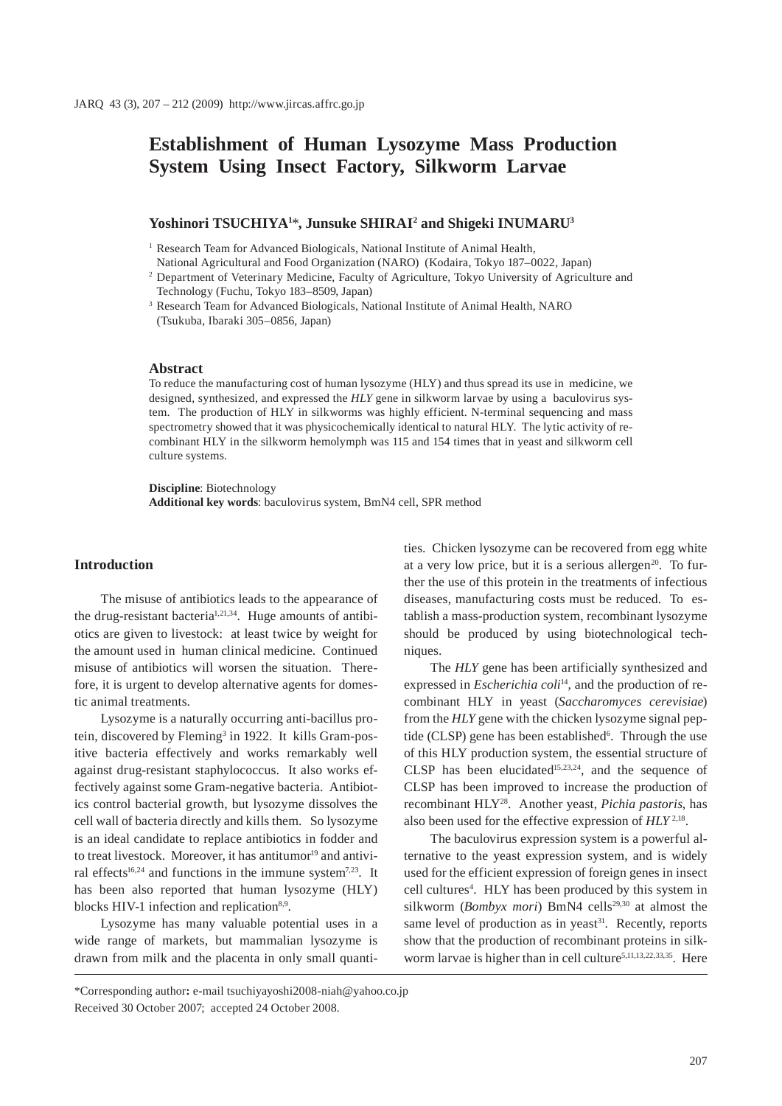# **Establishment of Human Lysozyme Mass Production System Using Insect Factory, Silkworm Larvae**

## **Yoshinori TSUCHIYA1** \***, Junsuke SHIRAI2 and Shigeki INUMARU3**

<sup>1</sup> Research Team for Advanced Biologicals, National Institute of Animal Health,

- National Agricultural and Food Organization (NARO) (Kodaira, Tokyo 187–0022, Japan)
- 2 Department of Veterinary Medicine, Faculty of Agriculture, Tokyo University of Agriculture and Technology (Fuchu, Tokyo 183–8509, Japan)
- 3 Research Team for Advanced Biologicals, National Institute of Animal Health, NARO (Tsukuba, Ibaraki 305–0856, Japan)

#### **Abstract**

To reduce the manufacturing cost of human lysozyme (HLY) and thus spread its use in medicine, we designed, synthesized, and expressed the *HLY* gene in silkworm larvae by using a baculovirus system. The production of HLY in silkworms was highly efficient. N-terminal sequencing and mass spectrometry showed that it was physicochemically identical to natural HLY. The lytic activity of recombinant HLY in the silkworm hemolymph was 115 and 154 times that in yeast and silkworm cell culture systems.

**Discipline**: Biotechnology **Additional key words**: baculovirus system, BmN4 cell, SPR method

## **Introduction**

The misuse of antibiotics leads to the appearance of the drug-resistant bacteria<sup>1,21,34</sup>. Huge amounts of antibiotics are given to livestock: at least twice by weight for the amount used in human clinical medicine. Continued misuse of antibiotics will worsen the situation. Therefore, it is urgent to develop alternative agents for domestic animal treatments.

Lysozyme is a naturally occurring anti-bacillus protein, discovered by Fleming<sup>3</sup> in 1922. It kills Gram-positive bacteria effectively and works remarkably well against drug-resistant staphylococcus. It also works effectively against some Gram-negative bacteria. Antibiotics control bacterial growth, but lysozyme dissolves the cell wall of bacteria directly and kills them. So lysozyme is an ideal candidate to replace antibiotics in fodder and to treat livestock. Moreover, it has antitumor<sup>19</sup> and antiviral effects<sup>16,24</sup> and functions in the immune system<sup>7,23</sup>. It has been also reported that human lysozyme (HLY) blocks HIV-1 infection and replication $8.9$ .

Lysozyme has many valuable potential uses in a wide range of markets, but mammalian lysozyme is drawn from milk and the placenta in only small quantities. Chicken lysozyme can be recovered from egg white at a very low price, but it is a serious allergen<sup>20</sup>. To further the use of this protein in the treatments of infectious diseases, manufacturing costs must be reduced. To establish a mass-production system, recombinant lysozyme should be produced by using biotechnological techniques.

The *HLY* gene has been artificially synthesized and expressed in *Escherichia coli*<sup>14</sup>, and the production of recombinant HLY in yeast (*Saccharomyces cerevisiae*) from the *HLY* gene with the chicken lysozyme signal peptide (CLSP) gene has been established<sup>6</sup>. Through the use of this HLY production system, the essential structure of CLSP has been elucidated $15,23,24$ , and the sequence of CLSP has been improved to increase the production of recombinant HLY28. Another yeast, *Pichia pastoris*, has also been used for the effective expression of *HLY* 2,18.

The baculovirus expression system is a powerful alternative to the yeast expression system, and is widely used for the efficient expression of foreign genes in insect cell cultures<sup>4</sup>. HLY has been produced by this system in silkworm (*Bombyx mori*) BmN4 cells<sup>29,30</sup> at almost the same level of production as in yeast<sup>31</sup>. Recently, reports show that the production of recombinant proteins in silkworm larvae is higher than in cell culture<sup>5,11,13,22,33,35</sup>. Here

\*Corresponding author**:** e-mail tsuchiyayoshi2008-niah@yahoo.co.jp Received 30 October 2007; accepted 24 October 2008.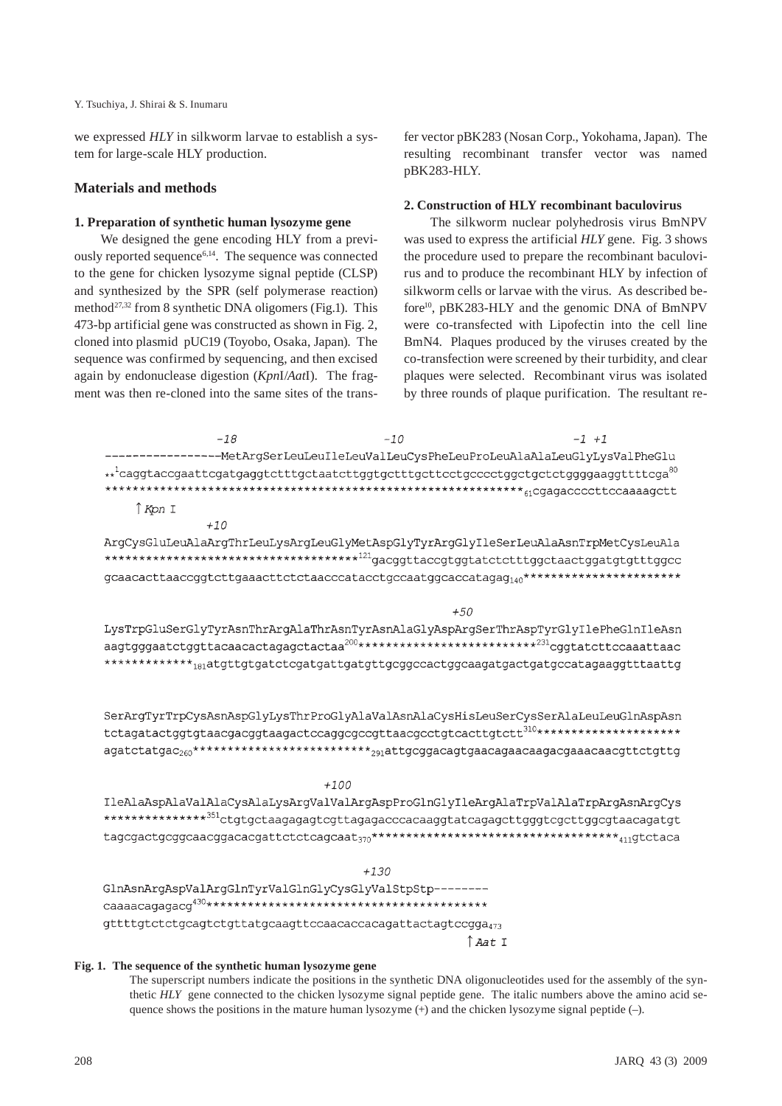#### Y. Tsuchiya, J. Shirai & S. Inumaru

we expressed *HLY* in silkworm larvae to establish a system for large-scale HLY production.

### **Materials and methods**

#### **1. Preparation of synthetic human lysozyme gene**

We designed the gene encoding HLY from a previously reported sequence<sup>6,14</sup>. The sequence was connected to the gene for chicken lysozyme signal peptide (CLSP) and synthesized by the SPR (self polymerase reaction) method<sup>27,32</sup> from 8 synthetic DNA oligomers (Fig.1). This 473-bp artificial gene was constructed as shown in Fig. 2, cloned into plasmid pUC19 (Toyobo, Osaka, Japan). The sequence was confirmed by sequencing, and then excised again by endonuclease digestion (*Kpn*I/*Aat*I). The fragment was then re-cloned into the same sites of the transfer vector pBK283 (Nosan Corp., Yokohama, Japan). The resulting recombinant transfer vector was named pBK283-HLY.

#### **2. Construction of HLY recombinant baculovirus**

The silkworm nuclear polyhedrosis virus BmNPV was used to express the artificial *HLY* gene. Fig. 3 shows the procedure used to prepare the recombinant baculovirus and to produce the recombinant HLY by infection of silkworm cells or larvae with the virus. As described before<sup>10</sup>, pBK283-HLY and the genomic DNA of BmNPV were co-transfected with Lipofectin into the cell line BmN4. Plaques produced by the viruses created by the co-transfection were screened by their turbidity, and clear plaques were selected. Recombinant virus was isolated by three rounds of plaque purification. The resultant re-

| $-18$                                                                                                             | $-10$  | $-1$ $+1$        |  |
|-------------------------------------------------------------------------------------------------------------------|--------|------------------|--|
|                                                                                                                   |        |                  |  |
| $\star \star^1$ caggtaccgaattcgatgaggtctttgctaatcttggtgctttgcttcctgcccctggctgctctggggaaggttttcga $^{80}$          |        |                  |  |
| ↑ Kpn I                                                                                                           |        |                  |  |
| $+10$                                                                                                             |        |                  |  |
| ArgCysGluLeuAlaArgThrLeuLysArgLeuGlyMetAspGlyTyrArgGlyIleSerLeuAlaAsnTrpMetCysLeuAla                              |        |                  |  |
| ********************************** <sup>121</sup> gacggttaccgtggtatctctttggctaactggatgttttggcc                    |        |                  |  |
| gcaacacttaaccggtcttgaaacttctctaacccatacctgccaatggcaccatagag140***********************                             |        |                  |  |
|                                                                                                                   | $+50$  |                  |  |
| LysTrpGluSerGlyTyrAsnThrArgAlaThrAsnTyrAsnAlaGlyAspArgSerThrAspTyrGlyIlePheGlnIleAsn                              |        |                  |  |
| aagtgggaatctggttacaacactagagctactaa <sup>200</sup> *********************** <sup>231</sup> cggtatcttccaaattaac     |        |                  |  |
| *************** <sub>181</sub> atgttgtgatctcgatgattgatgttgcggccactggcaagatgactgatgccatagaaggtttaattg              |        |                  |  |
|                                                                                                                   |        |                  |  |
| SerArgTyrTrpCysAsnAspGlyLysThrProGlyAlaValAsnAlaCysHisLeuSerCysSerAlaLeuLeuGlnAspAsn                              |        |                  |  |
| tctagatactggtgtaacgacggtaagactccaggcgccgttaacgcctgtcacttgtctt310*********************                             |        |                  |  |
| agatctatgac <sub>260</sub> *************************** <sub>291</sub> attgcggacagtgaacagaacaagacgaaacaacgttctgttg |        |                  |  |
|                                                                                                                   | $+100$ |                  |  |
| IleAlaAspAlaValAlaCysAlaLysArgValValArgAspProGlnGlyIleArgAlaTrpValAlaTrpArgAsnArgCys                              |        |                  |  |
| ************** <sup>351</sup> ctgtgctaagagagtcgttagagacccacaaggtatcagagcttgggtcgcttggcgtaacagatgt                 |        |                  |  |
|                                                                                                                   |        |                  |  |
|                                                                                                                   | $+130$ |                  |  |
| GlnAsnArgAspValArgGlnTyrValGlnGlyCysGlyValStpStp--------                                                          |        |                  |  |
|                                                                                                                   |        |                  |  |
| $g$ ttttgt $ctctg$ cagt $ctg$ ttatgcaagtt $cc$ caaca $cc$ acagatta $ctag$ t $ccg$ ga $_{473}$                     |        |                  |  |
|                                                                                                                   |        | $\uparrow$ Aat I |  |
|                                                                                                                   |        |                  |  |

## **Fig. 1. The sequence of the synthetic human lysozyme gene**

The superscript numbers indicate the positions in the synthetic DNA oligonucleotides used for the assembly of the synthetic *HLY* gene connected to the chicken lysozyme signal peptide gene. The italic numbers above the amino acid sequence shows the positions in the mature human lysozyme (+) and the chicken lysozyme signal peptide (–).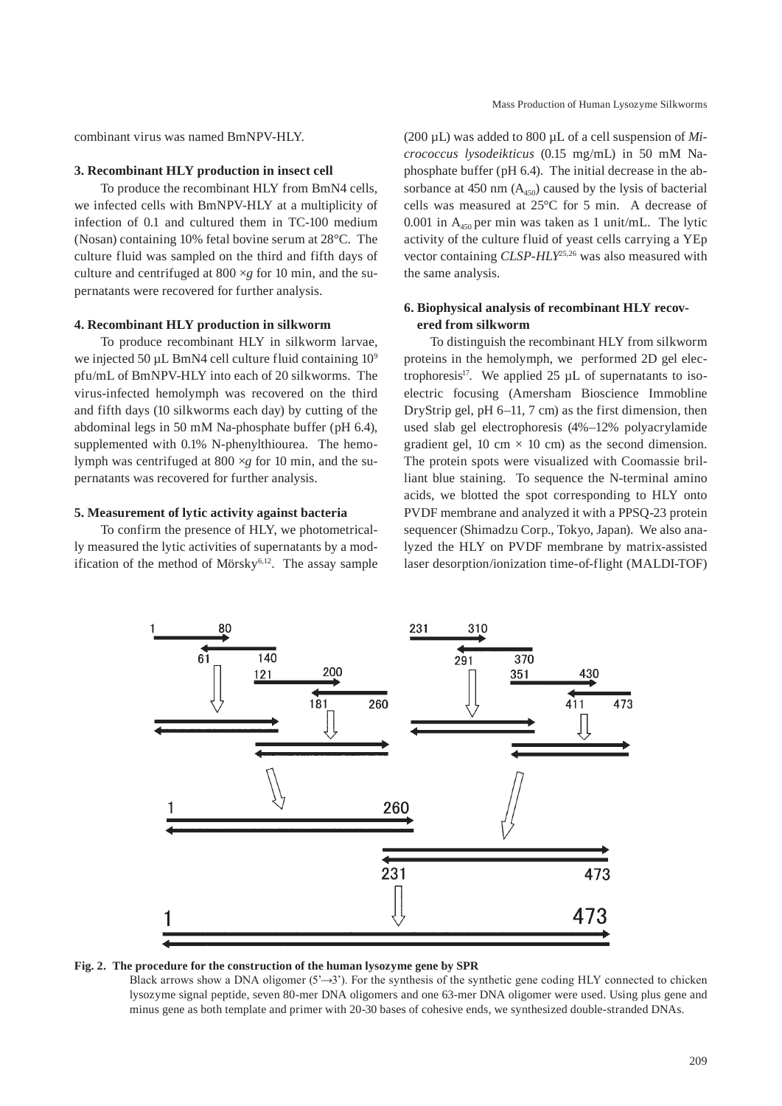combinant virus was named BmNPV-HLY.

#### **3. Recombinant HLY production in insect cell**

To produce the recombinant HLY from BmN4 cells, we infected cells with BmNPV-HLY at a multiplicity of infection of 0.1 and cultured them in TC-100 medium (Nosan) containing 10% fetal bovine serum at 28°C. The culture fluid was sampled on the third and fifth days of culture and centrifuged at 800 ×*g* for 10 min, and the supernatants were recovered for further analysis.

## **4. Recombinant HLY production in silkworm**

To produce recombinant HLY in silkworm larvae, we injected 50 µL BmN4 cell culture fluid containing  $10^9$ pfu/mL of BmNPV-HLY into each of 20 silkworms. The virus-infected hemolymph was recovered on the third and fifth days (10 silkworms each day) by cutting of the abdominal legs in 50 mM Na-phosphate buffer (pH 6.4), supplemented with 0.1% N-phenylthiourea. The hemolymph was centrifuged at 800 ×*g* for 10 min, and the supernatants was recovered for further analysis.

#### **5. Measurement of lytic activity against bacteria**

To confirm the presence of HLY, we photometrically measured the lytic activities of supernatants by a modification of the method of Mörsky $6,12$ . The assay sample (200 µL) was added to 800 µL of a cell suspension of *Micrococcus lysodeikticus* (0.15 mg/mL) in 50 mM Naphosphate buffer (pH 6.4). The initial decrease in the absorbance at 450 nm  $(A<sub>450</sub>)$  caused by the lysis of bacterial cells was measured at 25°C for 5 min. A decrease of 0.001 in  $A_{450}$  per min was taken as 1 unit/mL. The lytic activity of the culture fluid of yeast cells carrying a YEp vector containing *CLSP-HLY*25,26 was also measured with the same analysis.

## **6. Biophysical analysis of recombinant HLY recovered from silkworm**

To distinguish the recombinant HLY from silkworm proteins in the hemolymph, we performed 2D gel electrophoresis<sup>17</sup>. We applied 25  $\mu$ L of supernatants to isoelectric focusing (Amersham Bioscience Immobline DryStrip gel, pH 6–11, 7 cm) as the first dimension, then used slab gel electrophoresis (4%–12% polyacrylamide gradient gel, 10 cm  $\times$  10 cm) as the second dimension. The protein spots were visualized with Coomassie brilliant blue staining. To sequence the N-terminal amino acids, we blotted the spot corresponding to HLY onto PVDF membrane and analyzed it with a PPSQ-23 protein sequencer (Shimadzu Corp., Tokyo, Japan). We also analyzed the HLY on PVDF membrane by matrix-assisted laser desorption/ionization time-of-flight (MALDI-TOF)



**Fig. 2. The procedure for the construction of the human lysozyme gene by SPR**

Black arrows show a DNA oligomer  $(5\rightarrow 3)$ . For the synthesis of the synthetic gene coding HLY connected to chicken lysozyme signal peptide, seven 80-mer DNA oligomers and one 63-mer DNA oligomer were used. Using plus gene and minus gene as both template and primer with 20-30 bases of cohesive ends, we synthesized double-stranded DNAs.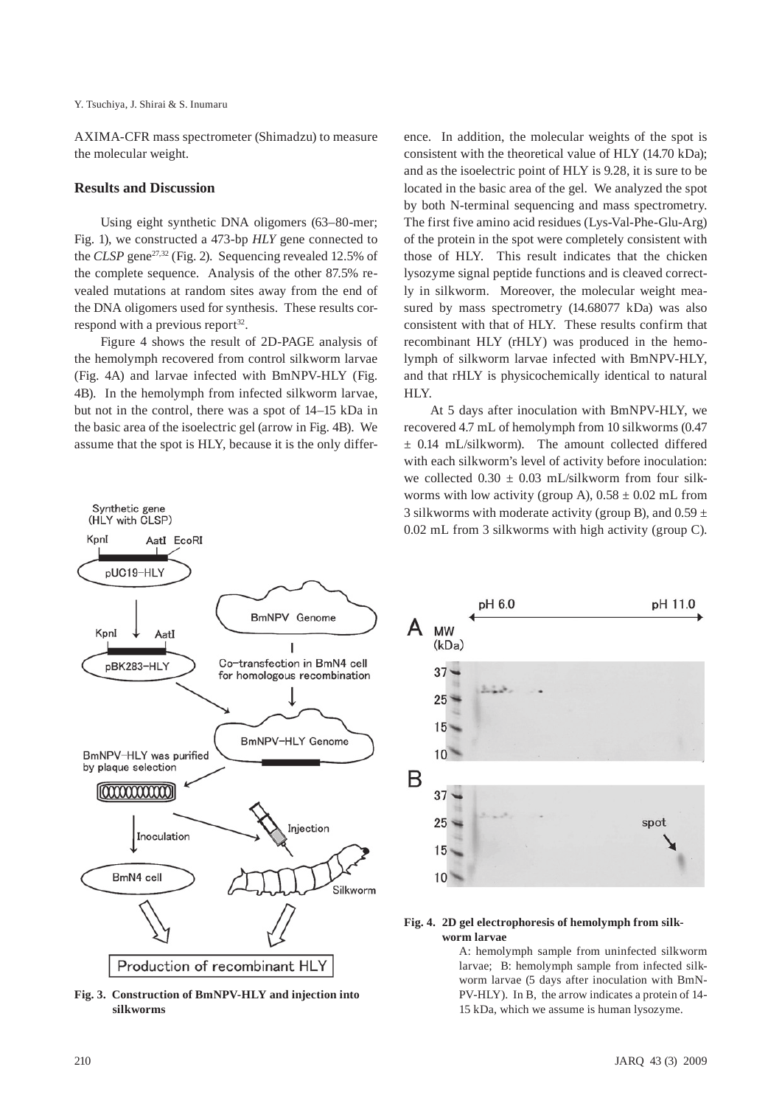Y. Tsuchiya, J. Shirai & S. Inumaru

AXIMA-CFR mass spectrometer (Shimadzu) to measure the molecular weight.

#### **Results and Discussion**

Synthetic gene (HLY with CLSP)

Using eight synthetic DNA oligomers (63–80-mer; Fig. 1), we constructed a 473-bp *HLY* gene connected to the *CLSP* gene<sup>27,32</sup> (Fig. 2). Sequencing revealed 12.5% of the complete sequence. Analysis of the other 87.5% revealed mutations at random sites away from the end of the DNA oligomers used for synthesis. These results correspond with a previous report<sup>32</sup>.

Figure 4 shows the result of 2D-PAGE analysis of the hemolymph recovered from control silkworm larvae (Fig. 4A) and larvae infected with BmNPV-HLY (Fig. 4B). In the hemolymph from infected silkworm larvae, but not in the control, there was a spot of 14–15 kDa in the basic area of the isoelectric gel (arrow in Fig. 4B). We assume that the spot is HLY, because it is the only difference. In addition, the molecular weights of the spot is consistent with the theoretical value of HLY (14.70 kDa); and as the isoelectric point of HLY is 9.28, it is sure to be located in the basic area of the gel. We analyzed the spot by both N-terminal sequencing and mass spectrometry. The first five amino acid residues (Lys-Val-Phe-Glu-Arg) of the protein in the spot were completely consistent with those of HLY. This result indicates that the chicken lysozyme signal peptide functions and is cleaved correctly in silkworm. Moreover, the molecular weight measured by mass spectrometry (14.68077 kDa) was also consistent with that of HLY. These results confirm that recombinant HLY (rHLY) was produced in the hemolymph of silkworm larvae infected with BmNPV-HLY, and that rHLY is physicochemically identical to natural HLY.

At 5 days after inoculation with BmNPV-HLY, we recovered 4.7 mL of hemolymph from 10 silkworms (0.47 ± 0.14 mL/silkworm). The amount collected differed with each silkworm's level of activity before inoculation: we collected  $0.30 \pm 0.03$  mL/silkworm from four silkworms with low activity (group A),  $0.58 \pm 0.02$  mL from 3 silkworms with moderate activity (group B), and  $0.59 \pm 1$ 0.02 mL from 3 silkworms with high activity (group C).



**Fig. 3. Construction of BmNPV-HLY and injection into silkworms**



#### **Fig. 4. 2D gel electrophoresis of hemolymph from silkworm larvae**

A: hemolymph sample from uninfected silkworm larvae; B: hemolymph sample from infected silkworm larvae (5 days after inoculation with BmN-PV-HLY). In B, the arrow indicates a protein of 14- 15 kDa, which we assume is human lysozyme.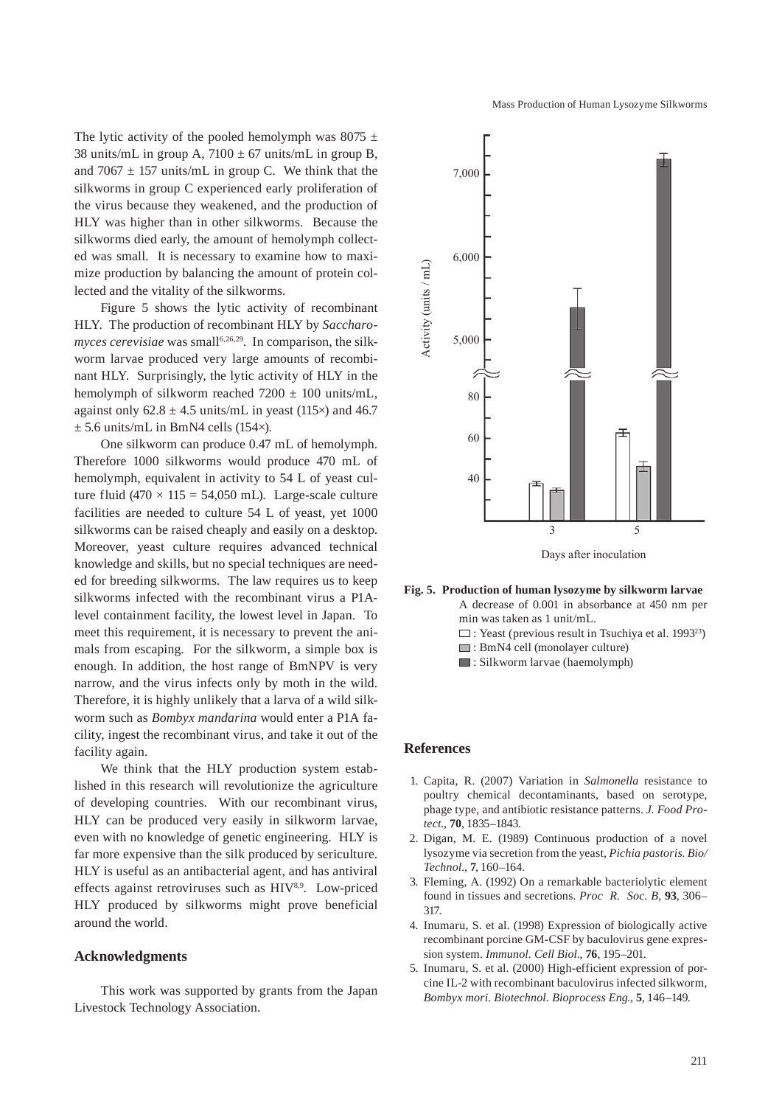The lytic activity of the pooled hemolymph was 8075  $\pm$ 38 units/mL in group A,  $7100 \pm 67$  units/mL in group B, and 7067  $\pm$  157 units/mL in group C. We think that the silkworms in group C experienced early proliferation of the virus because they weakened, and the production of HLY was higher than in other silkworms. Because the silkworms died early, the amount of hemolymph collected was small. It is necessary to examine how to maximize production by balancing the amount of protein collected and the vitality of the silkworms.

Figure 5 shows the lytic activity of recombinant HLY. The production of recombinant HLY by *Saccharomyces cerevisiae* was small<sup>6,26,29</sup>. In comparison, the silkworm larvae produced very large amounts of recombinant HLY. Surprisingly, the lytic activity of HLY in the hemolymph of silkworm reached  $7200 \pm 100$  units/mL, against only  $62.8 \pm 4.5$  units/mL in yeast (115 $\times$ ) and 46.7  $\pm$  5.6 units/mL in BmN4 cells (154 $\times$ ).

One silkworm can produce 0.47 mL of hemolymph. Therefore 1000 silkworms would produce 470 mL of hemolymph, equivalent in activity to 54 L of yeast culture fluid (470  $\times$  115 = 54,050 mL). Large-scale culture facilities are needed to culture 54 L of yeast, yet 1000 silkworms can be raised cheaply and easily on a desktop. Moreover, yeast culture requires advanced technical knowledge and skills, but no special techniques are needed for breeding silkworms. The law requires us to keep silkworms infected with the recombinant virus a P1Alevel containment facility, the lowest level in Japan. To meet this requirement, it is necessary to prevent the animals from escaping. For the silkworm, a simple box is enough. In addition, the host range of BmNPV is very narrow, and the virus infects only by moth in the wild. Therefore, it is highly unlikely that a larva of a wild silkworm such as *Bombyx mandarina* would enter a P1A facility, ingest the recombinant virus, and take it out of the facility again.

We think that the HLY production system established in this research will revolutionize the agriculture of developing countries. With our recombinant virus, HLY can be produced very easily in silkworm larvae, even with no knowledge of genetic engineering. HLY is far more expensive than the silk produced by sericulture. HLY is useful as an antibacterial agent, and has antiviral effects against retroviruses such as  $H*IV*<sup>8,9</sup>$ . Low-priced HLY produced by silkworms might prove beneficial around the world.

## **Acknowledgments**

This work was supported by grants from the Japan Livestock Technology Association.



**Fig. 5. Production of human lysozyme by silkworm larvae**

- A decrease of 0.001 in absorbance at 450 nm per min was taken as 1 unit/mL.
- $\square$ : Yeast (previous result in Tsuchiya et al. 1993<sup>23</sup>)
- : BmN4 cell (monolayer culture)
- $\Box$ : Silkworm larvae (haemolymph)

#### **References**

- 1. Capita, R. (2007) Variation in *Salmonella* resistance to poultry chemical decontaminants, based on serotype, phage type, and antibiotic resistance patterns. *J. Food Protect*., **70**, 1835–1843.
- 2. Digan, M. E. (1989) Continuous production of a novel lysozyme via secretion from the yeast, *Pichia pastoris*. *Bio/ Technol*., **7**, 160–164.
- 3. Fleming, A. (1992) On a remarkable bacteriolytic element found in tissues and secretions. *Proc R. Soc. B,* **93**, 306– 317.
- 4. Inumaru, S. et al. (1998) Expression of biologically active recombinant porcine GM-CSF by baculovirus gene expression system. *Immunol. Cell Biol*., **76**, 195–201.
- 5. Inumaru, S. et al. (2000) High-efficient expression of porcine IL-2 with recombinant baculovirus infected silkworm, *Bombyx mori*. *Biotechnol. Bioprocess Eng*., **5**, 146–149.